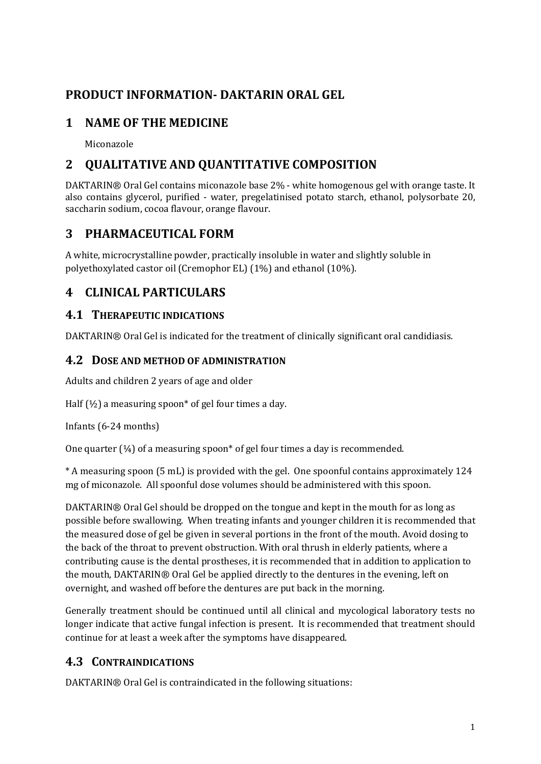# **PRODUCT INFORMATION- DAKTARIN ORAL GEL**

# **1 NAME OF THE MEDICINE**

Miconazole

# **2 QUALITATIVE AND QUANTITATIVE COMPOSITION**

DAKTARIN® Oral Gel contains miconazole base 2% - white homogenous gel with orange taste. It also contains glycerol, purified - water, pregelatinised potato starch, ethanol, polysorbate 20, saccharin sodium, cocoa flavour, orange flavour.

# **3 PHARMACEUTICAL FORM**

A white, microcrystalline powder, practically insoluble in water and slightly soluble in polyethoxylated castor oil (Cremophor EL) (1%) and ethanol (10%).

# **4 CLINICAL PARTICULARS**

## **4.1 THERAPEUTIC INDICATIONS**

DAKTARIN® Oral Gel is indicated for the treatment of clinically significant oral candidiasis.

### **4.2 DOSE AND METHOD OF ADMINISTRATION**

Adults and children 2 years of age and older

Half  $(\frac{1}{2})$  a measuring spoon\* of gel four times a day.

Infants (6-24 months)

One quarter  $(½)$  of a measuring spoon\* of gel four times a day is recommended.

\* A measuring spoon (5 mL) is provided with the gel. One spoonful contains approximately 124 mg of miconazole. All spoonful dose volumes should be administered with this spoon.

DAKTARIN® Oral Gel should be dropped on the tongue and kept in the mouth for as long as possible before swallowing. When treating infants and younger children it is recommended that the measured dose of gel be given in several portions in the front of the mouth. Avoid dosing to the back of the throat to prevent obstruction. With oral thrush in elderly patients, where a contributing cause is the dental prostheses, it is recommended that in addition to application to the mouth, DAKTARIN® Oral Gel be applied directly to the dentures in the evening, left on overnight, and washed off before the dentures are put back in the morning.

Generally treatment should be continued until all clinical and mycological laboratory tests no longer indicate that active fungal infection is present. It is recommended that treatment should continue for at least a week after the symptoms have disappeared.

# **4.3 CONTRAINDICATIONS**

DAKTARIN® Oral Gel is contraindicated in the following situations: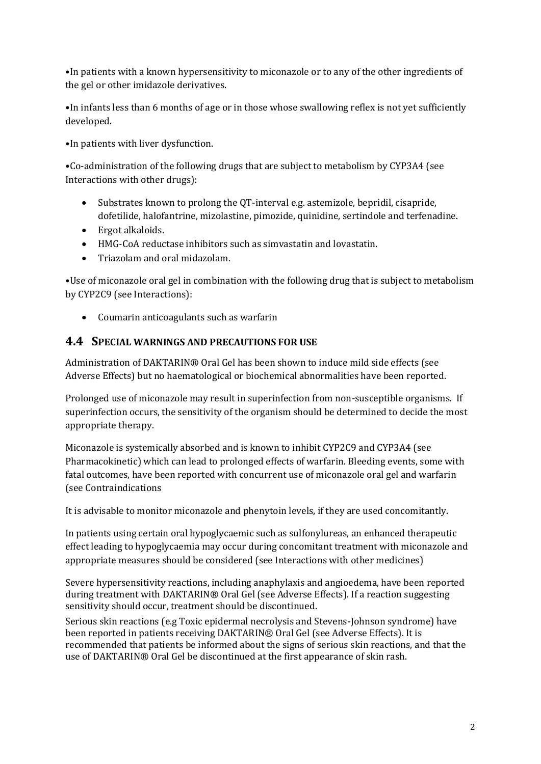•In patients with a known hypersensitivity to miconazole or to any of the other ingredients of the gel or other imidazole derivatives.

•In infants less than 6 months of age or in those whose swallowing reflex is not yet sufficiently developed.

•In patients with liver dysfunction.

•Co-administration of the following drugs that are subject to metabolism by CYP3A4 (see Interactions with other drugs):

- Substrates known to prolong the QT-interval e.g. astemizole, bepridil, cisapride, dofetilide, halofantrine, mizolastine, pimozide, quinidine, sertindole and terfenadine.
- Ergot alkaloids.
- HMG-CoA reductase inhibitors such as simvastatin and lovastatin.
- Triazolam and oral midazolam.

•Use of miconazole oral gel in combination with the following drug that is subject to metabolism by CYP2C9 (see Interactions):

• Coumarin anticoagulants such as warfarin

#### **4.4 SPECIAL WARNINGS AND PRECAUTIONS FOR USE**

Administration of DAKTARIN® Oral Gel has been shown to induce mild side effects (see Adverse Effects) but no haematological or biochemical abnormalities have been reported.

Prolonged use of miconazole may result in superinfection from non-susceptible organisms. If superinfection occurs, the sensitivity of the organism should be determined to decide the most appropriate therapy.

Miconazole is systemically absorbed and is known to inhibit CYP2C9 and CYP3A4 (see Pharmacokinetic) which can lead to prolonged effects of warfarin. Bleeding events, some with fatal outcomes, have been reported with concurrent use of miconazole oral gel and warfarin (see Contraindications

It is advisable to monitor miconazole and phenytoin levels, if they are used concomitantly.

In patients using certain oral hypoglycaemic such as sulfonylureas, an enhanced therapeutic effect leading to hypoglycaemia may occur during concomitant treatment with miconazole and appropriate measures should be considered (see Interactions with other medicines)

Severe hypersensitivity reactions, including anaphylaxis and angioedema, have been reported during treatment with DAKTARIN® Oral Gel (see Adverse Effects). If a reaction suggesting sensitivity should occur, treatment should be discontinued.

Serious skin reactions (e.g Toxic epidermal necrolysis and Stevens-Johnson syndrome) have been reported in patients receiving DAKTARIN® Oral Gel (see Adverse Effects). It is recommended that patients be informed about the signs of serious skin reactions, and that the use of DAKTARIN® Oral Gel be discontinued at the first appearance of skin rash.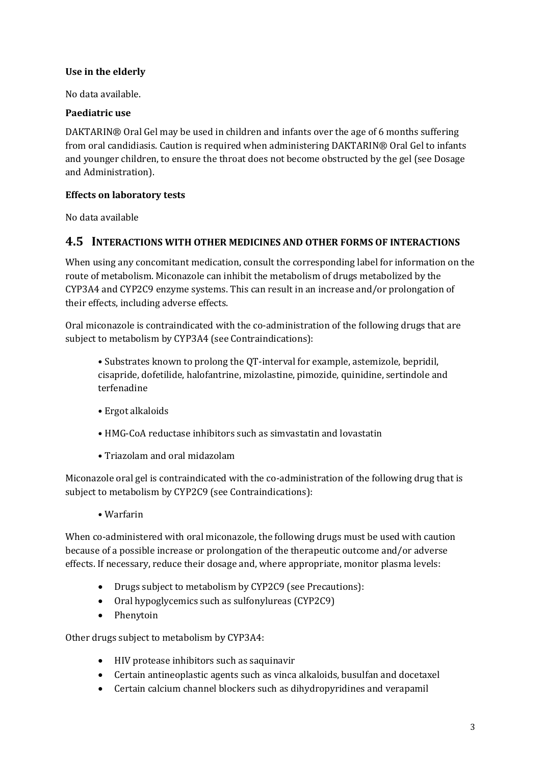#### **Use in the elderly**

No data available.

#### **Paediatric use**

DAKTARIN® Oral Gel may be used in children and infants over the age of 6 months suffering from oral candidiasis. Caution is required when administering DAKTARIN® Oral Gel to infants and younger children, to ensure the throat does not become obstructed by the gel (see Dosage and Administration).

#### **Effects on laboratory tests**

No data available

#### **4.5 INTERACTIONS WITH OTHER MEDICINES AND OTHER FORMS OF INTERACTIONS**

When using any concomitant medication, consult the corresponding label for information on the route of metabolism. Miconazole can inhibit the metabolism of drugs metabolized by the CYP3A4 and CYP2C9 enzyme systems. This can result in an increase and/or prolongation of their effects, including adverse effects.

Oral miconazole is contraindicated with the co-administration of the following drugs that are subject to metabolism by CYP3A4 (see Contraindications):

• Substrates known to prolong the QT-interval for example, astemizole, bepridil, cisapride, dofetilide, halofantrine, mizolastine, pimozide, quinidine, sertindole and terfenadine

- Ergot alkaloids
- HMG-CoA reductase inhibitors such as simvastatin and lovastatin
- Triazolam and oral midazolam

Miconazole oral gel is contraindicated with the co-administration of the following drug that is subject to metabolism by CYP2C9 (see Contraindications):

• Warfarin

When co-administered with oral miconazole, the following drugs must be used with caution because of a possible increase or prolongation of the therapeutic outcome and/or adverse effects. If necessary, reduce their dosage and, where appropriate, monitor plasma levels:

- Drugs subject to metabolism by CYP2C9 (see Precautions):
- Oral hypoglycemics such as sulfonylureas (CYP2C9)
- Phenytoin

Other drugs subject to metabolism by CYP3A4:

- HIV protease inhibitors such as saquinavir
- Certain antineoplastic agents such as vinca alkaloids, busulfan and docetaxel
- Certain calcium channel blockers such as dihydropyridines and verapamil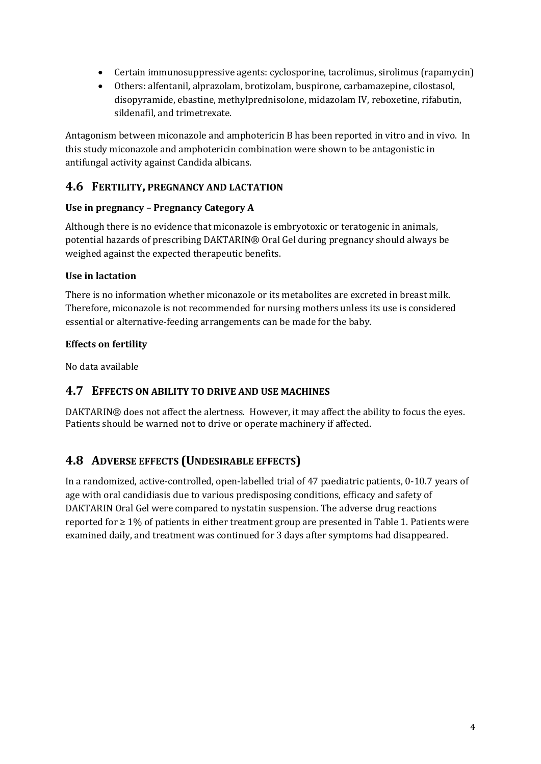- Certain immunosuppressive agents: cyclosporine, tacrolimus, sirolimus (rapamycin)
- Others: alfentanil, alprazolam, brotizolam, buspirone, carbamazepine, cilostasol, disopyramide, ebastine, methylprednisolone, midazolam IV, reboxetine, rifabutin, sildenafil, and trimetrexate.

Antagonism between miconazole and amphotericin B has been reported in vitro and in vivo. In this study miconazole and amphotericin combination were shown to be antagonistic in antifungal activity against Candida albicans.

### **4.6 FERTILITY, PREGNANCY AND LACTATION**

#### **Use in pregnancy – Pregnancy Category A**

Although there is no evidence that miconazole is embryotoxic or teratogenic in animals, potential hazards of prescribing DAKTARIN® Oral Gel during pregnancy should always be weighed against the expected therapeutic benefits.

#### **Use in lactation**

There is no information whether miconazole or its metabolites are excreted in breast milk. Therefore, miconazole is not recommended for nursing mothers unless its use is considered essential or alternative-feeding arrangements can be made for the baby.

#### **Effects on fertility**

No data available

#### **4.7 EFFECTS ON ABILITY TO DRIVE AND USE MACHINES**

DAKTARIN® does not affect the alertness. However, it may affect the ability to focus the eyes. Patients should be warned not to drive or operate machinery if affected.

## **4.8 ADVERSE EFFECTS (UNDESIRABLE EFFECTS)**

In a randomized, active-controlled, open-labelled trial of 47 paediatric patients, 0-10.7 years of age with oral candidiasis due to various predisposing conditions, efficacy and safety of DAKTARIN Oral Gel were compared to nystatin suspension. The adverse drug reactions reported for ≥ 1% of patients in either treatment group are presented in Table 1. Patients were examined daily, and treatment was continued for 3 days after symptoms had disappeared.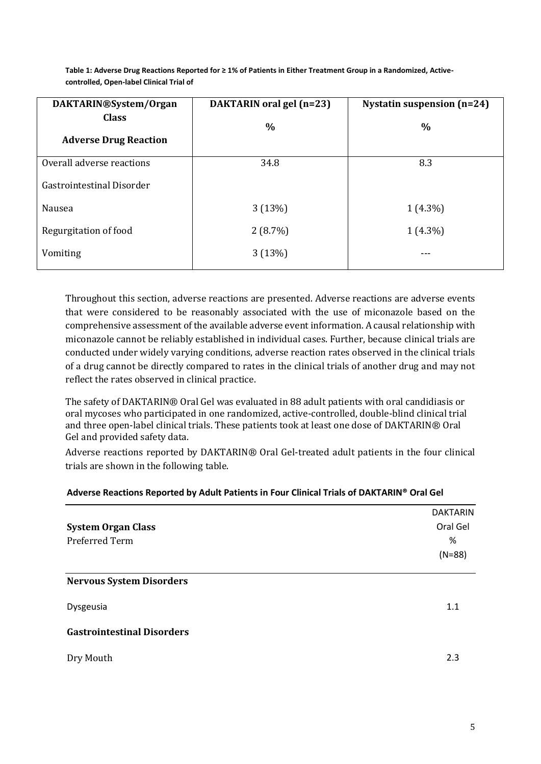| DAKTARIN®System/Organ        | DAKTARIN oral gel (n=23) | <b>Nystatin suspension (n=24)</b> |
|------------------------------|--------------------------|-----------------------------------|
| <b>Class</b>                 | $\%$                     | $\frac{0}{0}$                     |
| <b>Adverse Drug Reaction</b> |                          |                                   |
| Overall adverse reactions    | 34.8                     | 8.3                               |
| Gastrointestinal Disorder    |                          |                                   |
| Nausea                       | 3(13%)                   | $1(4.3\%)$                        |
| Regurgitation of food        | 2(8.7%)                  | $1(4.3\%)$                        |
| Vomiting                     | 3(13%)                   |                                   |

**Table 1: Adverse Drug Reactions Reported for ≥ 1% of Patients in Either Treatment Group in a Randomized, Activecontrolled, Open-label Clinical Trial of**

Throughout this section, adverse reactions are presented. Adverse reactions are adverse events that were considered to be reasonably associated with the use of miconazole based on the comprehensive assessment of the available adverse event information. A causal relationship with miconazole cannot be reliably established in individual cases. Further, because clinical trials are conducted under widely varying conditions, adverse reaction rates observed in the clinical trials of a drug cannot be directly compared to rates in the clinical trials of another drug and may not reflect the rates observed in clinical practice.

The safety of DAKTARIN® Oral Gel was evaluated in 88 adult patients with oral candidiasis or oral mycoses who participated in one randomized, active-controlled, double-blind clinical trial and three open-label clinical trials. These patients took at least one dose of DAKTARIN® Oral Gel and provided safety data.

Adverse reactions reported by DAKTARIN® Oral Gel-treated adult patients in the four clinical trials are shown in the following table.

#### **Adverse Reactions Reported by Adult Patients in Four Clinical Trials of DAKTARIN® Oral Gel**

|                                   | <b>DAKTARIN</b> |  |
|-----------------------------------|-----------------|--|
| <b>System Organ Class</b>         | Oral Gel        |  |
| Preferred Term                    | %               |  |
|                                   | $(N=88)$        |  |
| <b>Nervous System Disorders</b>   |                 |  |
| Dysgeusia                         | 1.1             |  |
| <b>Gastrointestinal Disorders</b> |                 |  |
| Dry Mouth                         | 2.3             |  |
|                                   |                 |  |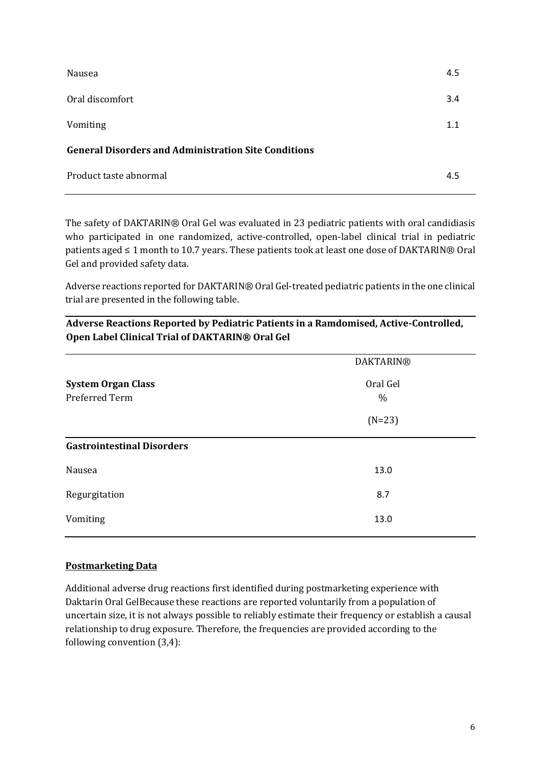| Nausea                                                      | 4.5 |
|-------------------------------------------------------------|-----|
| Oral discomfort                                             | 3.4 |
| Vomiting                                                    | 1.1 |
| <b>General Disorders and Administration Site Conditions</b> |     |
| Product taste abnormal                                      | 4.5 |

The safety of DAKTARIN® Oral Gel was evaluated in 23 pediatric patients with oral candidiasis who participated in one randomized, active-controlled, open-label clinical trial in pediatric patients aged ≤ 1 month to 10.7 years. These patients took at least one dose of DAKTARIN® Oral Gel and provided safety data.

Adverse reactions reported for DAKTARIN® Oral Gel-treated pediatric patients in the one clinical trial are presented in the following table.

|                                             | <b>DAKTARIN®</b> |
|---------------------------------------------|------------------|
| <b>System Organ Class</b><br>Preferred Term | Oral Gel<br>$\%$ |
|                                             | $(N=23)$         |
| <b>Gastrointestinal Disorders</b>           |                  |
| Nausea                                      | 13.0             |
| Regurgitation                               | 8.7              |
| Vomiting                                    | 13.0             |

**Adverse Reactions Reported by Pediatric Patients in a Ramdomised, Active-Controlled, Open Label Clinical Trial of DAKTARIN® Oral Gel**

#### **Postmarketing Data**

Additional adverse drug reactions first identified during postmarketing experience with Daktarin Oral GelBecause these reactions are reported voluntarily from a population of uncertain size, it is not always possible to reliably estimate their frequency or establish a causal relationship to drug exposure. Therefore, the frequencies are provided according to the following convention (3,4):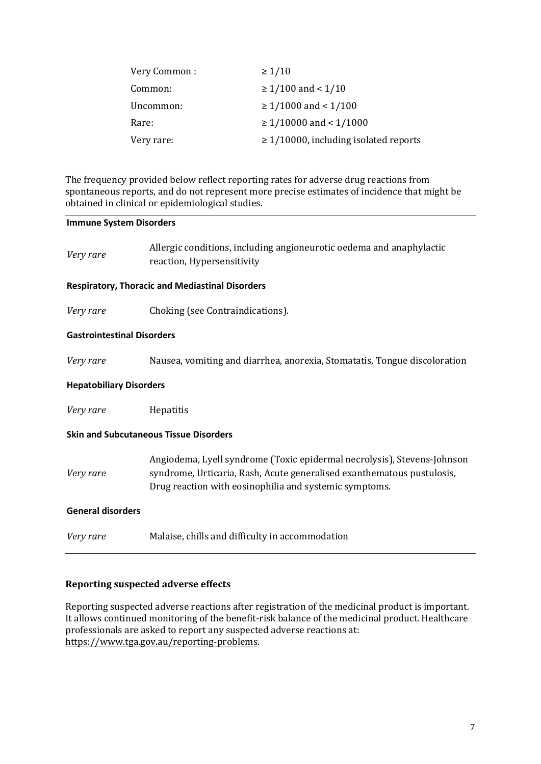| Very Common: | $\geq 1/10$                                |
|--------------|--------------------------------------------|
| Common:      | $\geq 1/100$ and < 1/10                    |
| Uncommon:    | $\geq 1/1000$ and < 1/100                  |
| Rare:        | $\geq 1/10000$ and < 1/1000                |
| Very rare:   | $\geq$ 1/10000, including isolated reports |

The frequency provided below reflect reporting rates for adverse drug reactions from spontaneous reports, and do not represent more precise estimates of incidence that might be obtained in clinical or epidemiological studies.

#### **Immune System Disorders**

| Very rare                         | Allergic conditions, including angioneurotic oedema and anaphylactic<br>reaction, Hypersensitivity                                                                                                          |
|-----------------------------------|-------------------------------------------------------------------------------------------------------------------------------------------------------------------------------------------------------------|
|                                   | <b>Respiratory, Thoracic and Mediastinal Disorders</b>                                                                                                                                                      |
| Very rare                         | Choking (see Contraindications).                                                                                                                                                                            |
| <b>Gastrointestinal Disorders</b> |                                                                                                                                                                                                             |
| Very rare                         | Nausea, vomiting and diarrhea, anorexia, Stomatatis, Tongue discoloration                                                                                                                                   |
| <b>Hepatobiliary Disorders</b>    |                                                                                                                                                                                                             |
| Very rare                         | Hepatitis                                                                                                                                                                                                   |
|                                   | <b>Skin and Subcutaneous Tissue Disorders</b>                                                                                                                                                               |
| Very rare                         | Angiodema, Lyell syndrome (Toxic epidermal necrolysis), Stevens-Johnson<br>syndrome, Urticaria, Rash, Acute generalised exanthematous pustulosis,<br>Drug reaction with eosinophilia and systemic symptoms. |
| <b>General disorders</b>          |                                                                                                                                                                                                             |
| Very rare                         | Malaise, chills and difficulty in accommodation                                                                                                                                                             |

#### **Reporting suspected adverse effects**

Reporting suspected adverse reactions after registration of the medicinal product is important. It allows continued monitoring of the benefit-risk balance of the medicinal product. Healthcare professionals are asked to report any suspected adverse reactions at: [https://www.tga.gov.au/reporting-problems.](https://www.tga.gov.au/reporting-problems)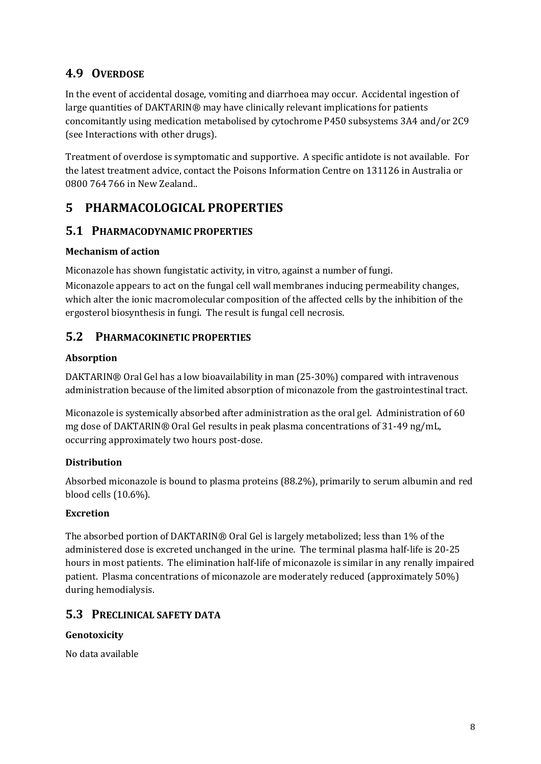# **4.9 OVERDOSE**

In the event of accidental dosage, vomiting and diarrhoea may occur. Accidental ingestion of large quantities of DAKTARIN® may have clinically relevant implications for patients concomitantly using medication metabolised by cytochrome P450 subsystems 3A4 and/or 2C9 (see Interactions with other drugs).

Treatment of overdose is symptomatic and supportive. A specific antidote is not available. For the latest treatment advice, contact the Poisons Information Centre on 131126 in Australia or 0800 764 766 in New Zealand..

# **5 PHARMACOLOGICAL PROPERTIES**

## **5.1 PHARMACODYNAMIC PROPERTIES**

#### **Mechanism of action**

Miconazole has shown fungistatic activity, in vitro, against a number of fungi.

Miconazole appears to act on the fungal cell wall membranes inducing permeability changes, which alter the ionic macromolecular composition of the affected cells by the inhibition of the ergosterol biosynthesis in fungi. The result is fungal cell necrosis.

## **5.2 PHARMACOKINETIC PROPERTIES**

### **Absorption**

DAKTARIN® Oral Gel has a low bioavailability in man (25-30%) compared with intravenous administration because of the limited absorption of miconazole from the gastrointestinal tract.

Miconazole is systemically absorbed after administration as the oral gel. Administration of 60 mg dose of DAKTARIN® Oral Gel results in peak plasma concentrations of 31-49 ng/mL, occurring approximately two hours post-dose.

### **Distribution**

Absorbed miconazole is bound to plasma proteins (88.2%), primarily to serum albumin and red blood cells (10.6%).

### **Excretion**

The absorbed portion of DAKTARIN® Oral Gel is largely metabolized; less than 1% of the administered dose is excreted unchanged in the urine. The terminal plasma half-life is 20-25 hours in most patients. The elimination half-life of miconazole is similar in any renally impaired patient. Plasma concentrations of miconazole are moderately reduced (approximately 50%) during hemodialysis.

## **5.3 PRECLINICAL SAFETY DATA**

### **Genotoxicity**

No data available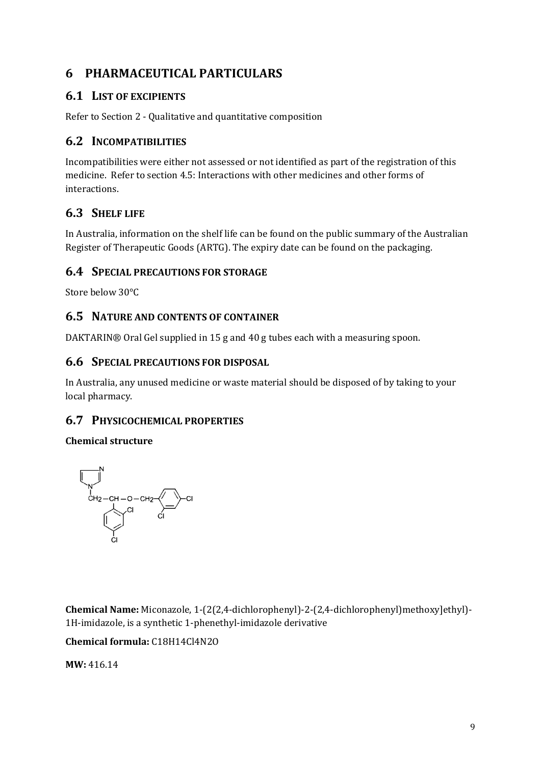# **6 PHARMACEUTICAL PARTICULARS**

## **6.1 LIST OF EXCIPIENTS**

Refer to Section 2 - Qualitative and quantitative composition

### **6.2 INCOMPATIBILITIES**

Incompatibilities were either not assessed or not identified as part of the registration of this medicine. Refer to section 4.5: Interactions with other medicines and other forms of interactions.

# **6.3 SHELF LIFE**

In Australia, information on the shelf life can be found on the public summary of the Australian Register of Therapeutic Goods (ARTG). The expiry date can be found on the packaging.

### **6.4 SPECIAL PRECAUTIONS FOR STORAGE**

Store below 30°C

### **6.5 NATURE AND CONTENTS OF CONTAINER**

DAKTARIN® Oral Gel supplied in 15 g and 40 g tubes each with a measuring spoon.

#### **6.6 SPECIAL PRECAUTIONS FOR DISPOSAL**

In Australia, any unused medicine or waste material should be disposed of by taking to your local pharmacy.

### **6.7 PHYSICOCHEMICAL PROPERTIES**

#### **Chemical structure**



**Chemical Name:** Miconazole, 1-(2(2,4-dichlorophenyl)-2-(2,4-dichlorophenyl)methoxy]ethyl)- 1H-imidazole, is a synthetic 1-phenethyl-imidazole derivative

#### **Chemical formula:** C18H14Cl4N2O

**MW:** 416.14